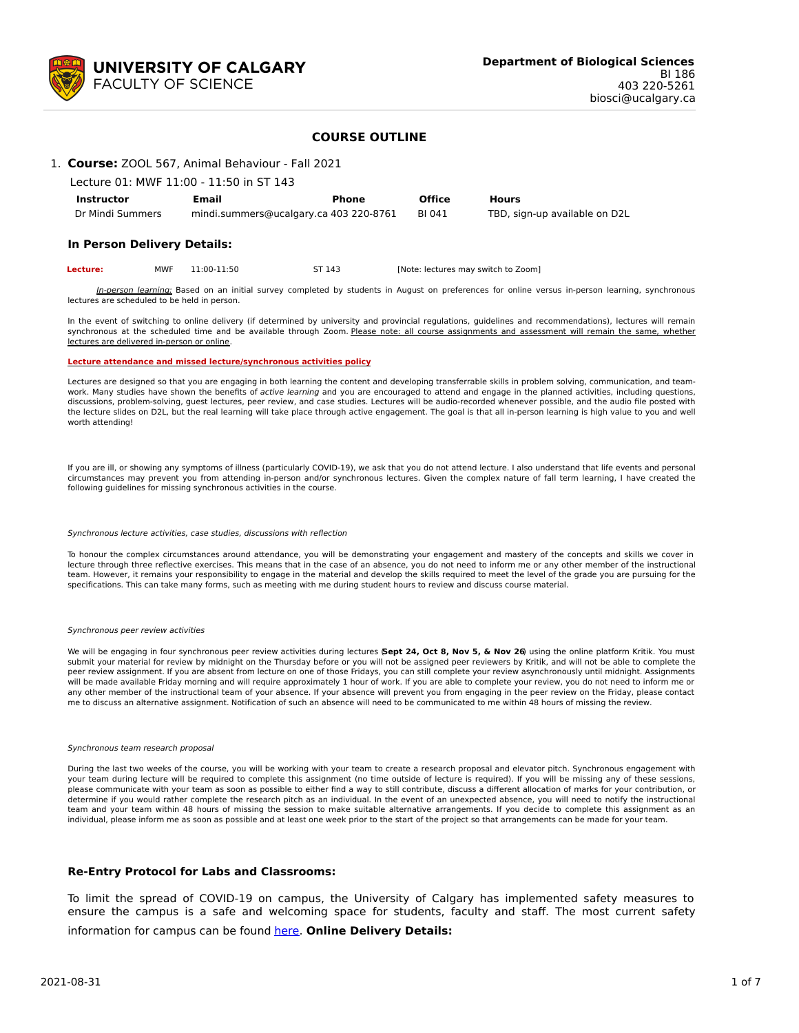

### **COURSE OUTLINE**

## 1. **Course:** ZOOL 567, Animal Behaviour - Fall 2021

| Lecture 01: MWF 11:00 - 11:50 in ST 143 |                                        |       |               |                               |  |  |  |
|-----------------------------------------|----------------------------------------|-------|---------------|-------------------------------|--|--|--|
| <b>Instructor</b>                       | Email                                  | Phone | <b>Office</b> | <b>Hours</b>                  |  |  |  |
| Dr Mindi Summers                        | mindi.summers@ucalgary.ca 403 220-8761 |       | BI 041        | TBD, sign-up available on D2L |  |  |  |

### **In Person Delivery Details:**

| Lecture: | MWF | 11:00-11:50 | ST 143 | [Note: lectures may switch to Zoom] |
|----------|-----|-------------|--------|-------------------------------------|
|----------|-----|-------------|--------|-------------------------------------|

In-person learning: Based on an initial survey completed by students in August on preferences for online versus in-person learning, synchronous lectures are scheduled to be held in person.

In the event of switching to online delivery (if determined by university and provincial regulations, guidelines and recommendations), lectures will remain synchronous at the scheduled time and be available through Zoom. Please note: all course assignments and assessment will remain the same, whether lectures are delivered in-person or online.

#### **Lecture attendance and missed lecture/synchronous activities policy**

Lectures are designed so that you are engaging in both learning the content and developing transferrable skills in problem solving, communication, and teamwork. Many studies have shown the benefits of active learning and you are encouraged to attend and engage in the planned activities, including questions, discussions, problem-solving, guest lectures, peer review, and case studies. Lectures will be audio-recorded whenever possible, and the audio file posted with the lecture slides on D2L, but the real learning will take place through active engagement. The goal is that all in-person learning is high value to you and well worth attending!

If you are ill, or showing any symptoms of illness (particularly COVID-19), we ask that you do not attend lecture. I also understand that life events and personal circumstances may prevent you from attending in-person and/or synchronous lectures. Given the complex nature of fall term learning, I have created the following guidelines for missing synchronous activities in the course.

#### Synchronous lecture activities, case studies, discussions with reflection

To honour the complex circumstances around attendance, you will be demonstrating your engagement and mastery of the concepts and skills we cover in lecture through three reflective exercises. This means that in the case of an absence, you do not need to inform me or any other member of the instructional team. However, it remains your responsibility to engage in the material and develop the skills required to meet the level of the grade you are pursuing for the specifications. This can take many forms, such as meeting with me during student hours to review and discuss course material.

#### Synchronous peer review activities

We will be engaging in four synchronous peer review activities during lectures (**Sept 24, Oct 8, Nov 5, & Nov 26**) using the online platform Kritik. You must submit your material for review by midnight on the Thursday before or you will not be assigned peer reviewers by Kritik, and will not be able to complete the peer review assignment. If you are absent from lecture on one of those Fridays, you can still complete your review asynchronously until midnight. Assignments will be made available Friday morning and will require approximately 1 hour of work. If you are able to complete your review, you do not need to inform me or any other member of the instructional team of your absence. If your absence will prevent you from engaging in the peer review on the Friday, please contact me to discuss an alternative assignment. Notification of such an absence will need to be communicated to me within 48 hours of missing the review.

#### Synchronous team research proposal

During the last two weeks of the course, you will be working with your team to create a research proposal and elevator pitch. Synchronous engagement with your team during lecture will be required to complete this assignment (no time outside of lecture is required). If you will be missing any of these sessions, please communicate with your team as soon as possible to either find a way to still contribute, discuss a different allocation of marks for your contribution, or determine if you would rather complete the research pitch as an individual. In the event of an unexpected absence, you will need to notify the instructional team and your team within 48 hours of missing the session to make suitable alternative arrangements. If you decide to complete this assignment as an individual, please inform me as soon as possible and at least one week prior to the start of the project so that arrangements can be made for your team.

#### **Re-Entry Protocol for Labs and Classrooms:**

To limit the spread of COVID-19 on campus, the University of Calgary has implemented safety measures to ensure the campus is a safe and welcoming space for students, faculty and staff. The most current safety information for campus can be found [here](https://www.ucalgary.ca/risk/emergency-management/covid-19-response/return-campus-safety). **Online Delivery Details:**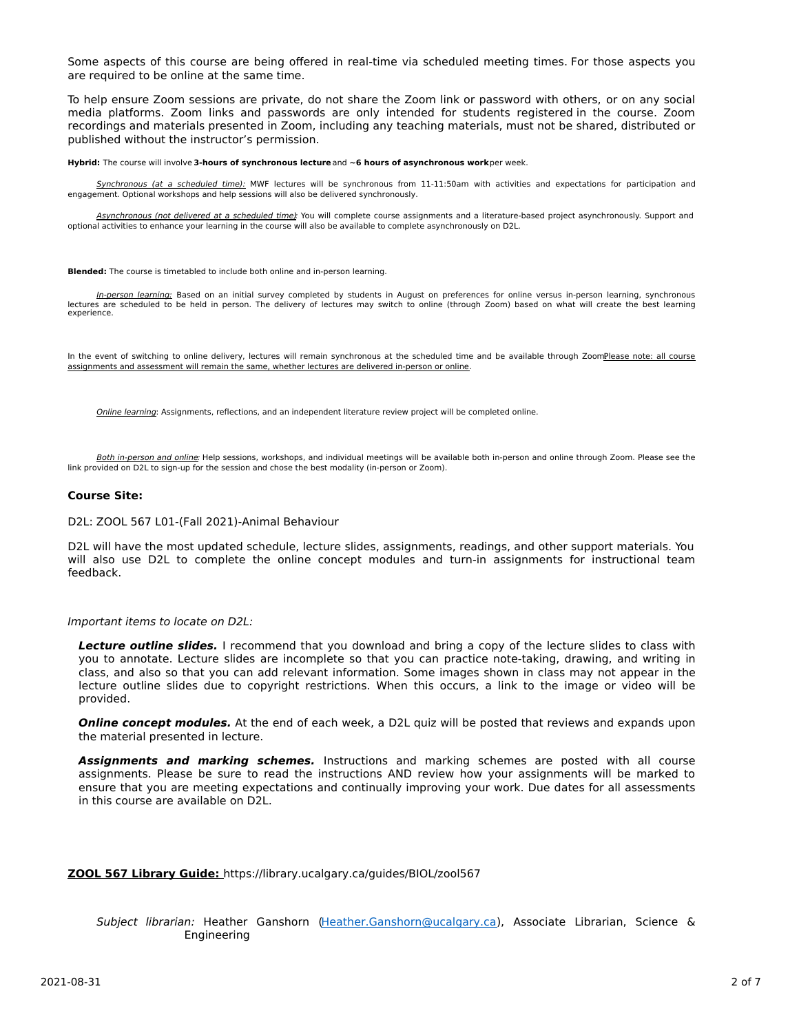Some aspects of this course are being offered in real-time via scheduled meeting times. For those aspects you are required to be online at the same time.

To help ensure Zoom sessions are private, do not share the Zoom link or password with others, or on any social media platforms. Zoom links and passwords are only intended for students registered in the course. Zoom recordings and materials presented in Zoom, including any teaching materials, must not be shared, distributed or published without the instructor's permission.

**Hybrid:** The course will involve **3-hours of synchronous lecture**and **~6 hours of asynchronous work**per week.

Synchronous (at a scheduled time): MWF lectures will be synchronous from 11-11:50am with activities and expectations for participation and engagement. Optional workshops and help sessions will also be delivered synchronously.

Asynchronous (not delivered at a scheduled time): You will complete course assignments and a literature-based project asynchronously. Support and optional activities to enhance your learning in the course will also be available to complete asynchronously on D2L.

**Blended:** The course is timetabled to include both online and in-person learning.

In-person learning: Based on an initial survey completed by students in August on preferences for online versus in-person learning, synchronous lectures are scheduled to be held in person. The delivery of lectures may switch to online (through Zoom) based on what will create the best learning experience.

In the event of switching to online delivery, lectures will remain synchronous at the scheduled time and be available through ZoomPlease note: all course assignments and assessment will remain the same, whether lectures are delivered in-person or online.

Online learning: Assignments, reflections, and an independent literature review project will be completed online.

Both in-person and online: Help sessions, workshops, and individual meetings will be available both in-person and online through Zoom. Please see the link provided on D2L to sign-up for the session and chose the best modality (in-person or Zoom).

### **Course Site:**

D2L: ZOOL 567 L01-(Fall 2021)-Animal Behaviour

D2L will have the most updated schedule, lecture slides, assignments, readings, and other support materials. You will also use D2L to complete the online concept modules and turn-in assignments for instructional team feedback.

#### Important items to locate on D2L:

**Lecture outline slides.** I recommend that you download and bring a copy of the lecture slides to class with you to annotate. Lecture slides are incomplete so that you can practice note-taking, drawing, and writing in class, and also so that you can add relevant information. Some images shown in class may not appear in the lecture outline slides due to copyright restrictions. When this occurs, a link to the image or video will be provided.

**Online concept modules.** At the end of each week, a D2L quiz will be posted that reviews and expands upon the material presented in lecture.

**Assignments and marking schemes.** Instructions and marking schemes are posted with all course assignments. Please be sure to read the instructions AND review how your assignments will be marked to ensure that you are meeting expectations and continually improving your work. Due dates for all assessments in this course are available on D2L.

#### **ZOOL 567 Library Guide:** https://library.ucalgary.ca/guides/BIOL/zool567

Subject librarian: Heather Ganshorn [\(Heather.Ganshorn@ucalgary.ca](mailto:Heather.Ganshorn@ucalgary.ca)), Associate Librarian, Science & Engineering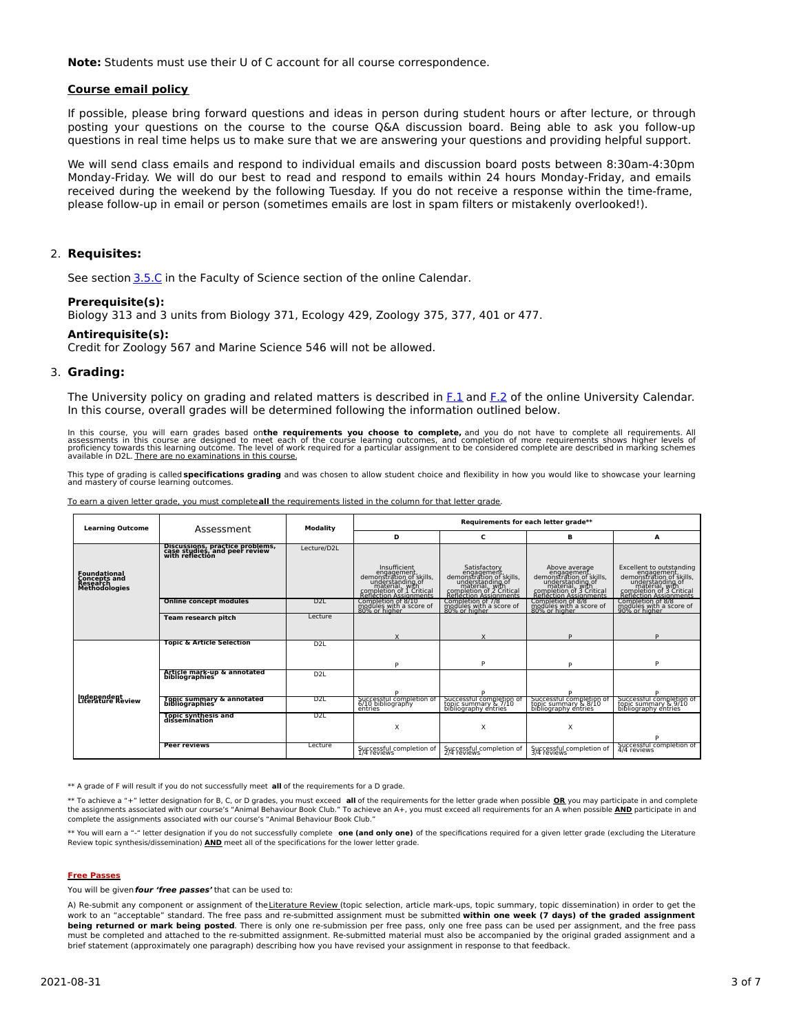**Note:** Students must use their U of C account for all course correspondence.

#### **Course email policy**

If possible, please bring forward questions and ideas in person during student hours or after lecture, or through posting your questions on the course to the course Q&A discussion board. Being able to ask you follow-up questions in real time helps us to make sure that we are answering your questions and providing helpful support.

We will send class emails and respond to individual emails and discussion board posts between 8:30am-4:30pm Monday-Friday. We will do our best to read and respond to emails within 24 hours Monday-Friday, and emails received during the weekend by the following Tuesday. If you do not receive a response within the time-frame, please follow-up in email or person (sometimes emails are lost in spam filters or mistakenly overlooked!).

### 2. **Requisites:**

See section [3.5.C](http://www.ucalgary.ca/pubs/calendar/current/sc-3-5.html) in the Faculty of Science section of the online Calendar.

### **Prerequisite(s):**

Biology 313 and 3 units from Biology 371, Ecology 429, Zoology 375, 377, 401 or 477.

#### **Antirequisite(s):**

Credit for Zoology 567 and Marine Science 546 will not be allowed.

### 3. **Grading:**

The University policy on grading and related matters is described in [F.1](http://www.ucalgary.ca/pubs/calendar/current/f-1.html) and [F.2](http://www.ucalgary.ca/pubs/calendar/current/f-2.html) of the online University Calendar. In this course, overall grades will be determined following the information outlined below.

In this course, you will earn grades based on**the requirements you choose to complete,** and you do not have to complete all requirements. All<br>assessments in this course are designed to meet each of the course learning outc

This type of grading is called **specifications grading** and was chosen to allow student choice and flexibility in how you would like to showcase your learning and mastery of course learning outcomes.

| To earn a given letter grade, you must completeall the requirements listed in the column for that letter grade. |  |  |  |  |  |  |  |  |
|-----------------------------------------------------------------------------------------------------------------|--|--|--|--|--|--|--|--|
|-----------------------------------------------------------------------------------------------------------------|--|--|--|--|--|--|--|--|

| <b>Learning Outcome</b>                                          | Assessment                                                                          | Modality         | Requirements for each letter grade**                                                                                                                |                                                                                                                                    |                                                                                                                                                                |                                                                                                                                                                                     |
|------------------------------------------------------------------|-------------------------------------------------------------------------------------|------------------|-----------------------------------------------------------------------------------------------------------------------------------------------------|------------------------------------------------------------------------------------------------------------------------------------|----------------------------------------------------------------------------------------------------------------------------------------------------------------|-------------------------------------------------------------------------------------------------------------------------------------------------------------------------------------|
|                                                                  |                                                                                     |                  | D                                                                                                                                                   | с                                                                                                                                  | в                                                                                                                                                              | A                                                                                                                                                                                   |
|                                                                  | Discussions, practice problems,<br>case studies, and peer review<br>with reflection | Lecture/D2L      |                                                                                                                                                     |                                                                                                                                    |                                                                                                                                                                |                                                                                                                                                                                     |
| Foundational<br>Concepts and<br>Research<br><b>Methodologies</b> |                                                                                     |                  | Insufficient<br>engagement,<br>demonstration of skills,<br>understanding of<br>material, with<br>completion of 1 Critical<br>Reflection Assignments | Satisfactory<br>engagement<br>demonstration of skills,<br>understanding of<br>completion of 2 Critical<br>Reflection of 2 Critical | Above average<br>Financial Computation<br>demonstration of skills,<br>understanding of<br>material, with<br>completion of 3 Critical<br>Reflection Assignments | Excellent to outstanding<br>engagement, demonstration of skills,<br>demonderstanding of<br>understanding of<br>material, with<br>completion of 3 Critical<br>Reflection Assignments |
|                                                                  | <b>Online concept modules</b>                                                       | D2L              | Completion of 8/10<br>modules with a score of                                                                                                       | Completion of 778<br>modules with a score of<br>80% or higher                                                                      | Completion of 8/8<br>modules with a score of<br>80% or higher                                                                                                  | Completion of 8/8<br>modules with a score of<br>90% or higher                                                                                                                       |
|                                                                  | <b>Team research pitch</b>                                                          | Lecture          |                                                                                                                                                     |                                                                                                                                    |                                                                                                                                                                |                                                                                                                                                                                     |
|                                                                  |                                                                                     |                  |                                                                                                                                                     |                                                                                                                                    | D                                                                                                                                                              | <sub>D</sub>                                                                                                                                                                        |
|                                                                  | <b>Topic &amp; Article Selection</b>                                                | D <sub>2</sub> L |                                                                                                                                                     |                                                                                                                                    |                                                                                                                                                                |                                                                                                                                                                                     |
| Independent<br>Literature Review                                 |                                                                                     |                  | P                                                                                                                                                   | P                                                                                                                                  | p                                                                                                                                                              | P                                                                                                                                                                                   |
|                                                                  | Article mark-up & annotated<br>bibliographies                                       | D <sub>2</sub> L |                                                                                                                                                     |                                                                                                                                    |                                                                                                                                                                |                                                                                                                                                                                     |
|                                                                  |                                                                                     |                  |                                                                                                                                                     |                                                                                                                                    |                                                                                                                                                                |                                                                                                                                                                                     |
|                                                                  | Topic summary & annotated<br>bibliographies                                         | D2L              | Successful completion of<br>6/10 bibliography<br>entries                                                                                            | Successful completion of<br>topic summary & 7/10<br>bibliography entries                                                           | Successful completion of<br>topic summary & 8/10<br>bibliography entries                                                                                       | Successful completion of<br>topic summary & 9/10<br>bibliography entries                                                                                                            |
|                                                                  | Topic synthesis and<br>dissemination                                                | D <sub>2</sub> L |                                                                                                                                                     |                                                                                                                                    |                                                                                                                                                                |                                                                                                                                                                                     |
|                                                                  |                                                                                     |                  | X                                                                                                                                                   | X                                                                                                                                  | X                                                                                                                                                              | D                                                                                                                                                                                   |
|                                                                  | Peer reviews                                                                        | Lecture          | Successful completion of<br>1/4 reviews                                                                                                             | Successful completion of<br>2/4 reviews                                                                                            | Successful completion of<br>3/4 reviews                                                                                                                        | Successful completion of<br>4/4 reviews                                                                                                                                             |

\*\* A grade of F will result if you do not successfully meet **all** of the requirements for a D grade.

\*\* To achieve a "+" letter designation for B, C, or D grades, you must exceed **all** of the requirements for the letter grade when possible **OR** you may participate in and complete the assignments associated with our course's "Animal Behaviour Book Club." To achieve an A+, you must exceed all requirements for an A when possible **AND** participate in and complete the assignments associated with our course's "Animal Behaviour Book Club."

\*\* You will earn a "-" letter designation if you do not successfully complete **one (and only one)** of the specifications required for a given letter grade (excluding the Literature Review topic synthesis/dissemination) **AND** meet all of the specifications for the lower letter grade.

#### **Free Passes**

You will be given**four 'free passes'** that can be used to:

A) Re-submit any component or assignment of theLiterature Review (topic selection, article mark-ups, topic summary, topic dissemination) in order to get the work to an "acceptable" standard. The free pass and re-submitted assignment must be submitted **within one week (7 days) of the graded assignment being returned or mark being posted**. There is only one re-submission per free pass, only one free pass can be used per assignment, and the free pass must be completed and attached to the re-submitted assignment. Re-submitted material must also be accompanied by the original graded assignment and a brief statement (approximately one paragraph) describing how you have revised your assignment in response to that feedback.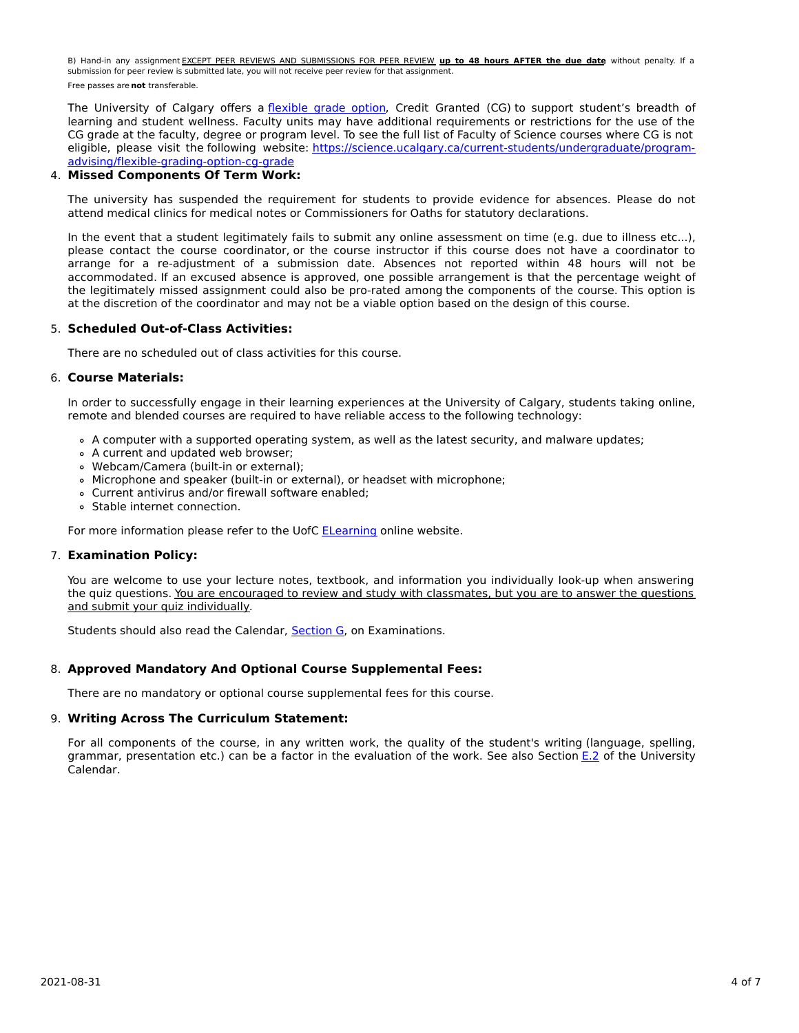B) Hand-in any assignment EXCEPT PEER REVIEWS AND SUBMISSIONS FOR PEER REVIEW **up to 48 hours AFTER the due date**, without penalty. If a submission for peer review is submitted late, you will not receive peer review for that assignment. Free passes are **not** transferable.

The University of Calgary offers a [flexible](https://www.ucalgary.ca/pubs/calendar/current/f-1-3.html) grade option, Credit Granted (CG) to support student's breadth of learning and student wellness. Faculty units may have additional requirements or restrictions for the use of the CG grade at the faculty, degree or program level. To see the full list of Faculty of Science courses where CG is not eligible, please visit the following website: [https://science.ucalgary.ca/current-students/undergraduate/program](https://science.ucalgary.ca/current-students/undergraduate/program-advising/flexible-grading-option-cg-grade)advising/flexible-grading-option-cg-grade

## 4. **Missed Components Of Term Work:**

The university has suspended the requirement for students to provide evidence for absences. Please do not attend medical clinics for medical notes or Commissioners for Oaths for statutory declarations.

In the event that a student legitimately fails to submit any online assessment on time (e.g. due to illness etc...), please contact the course coordinator, or the course instructor if this course does not have a coordinator to arrange for a re-adjustment of a submission date. Absences not reported within 48 hours will not be accommodated. If an excused absence is approved, one possible arrangement is that the percentage weight of the legitimately missed assignment could also be pro-rated among the components of the course. This option is at the discretion of the coordinator and may not be a viable option based on the design of this course.

### 5. **Scheduled Out-of-Class Activities:**

There are no scheduled out of class activities for this course.

### 6. **Course Materials:**

In order to successfully engage in their learning experiences at the University of Calgary, students taking online, remote and blended courses are required to have reliable access to the following technology:

- A computer with a supported operating system, as well as the latest security, and malware updates;
- A current and updated web browser;
- Webcam/Camera (built-in or external);
- Microphone and speaker (built-in or external), or headset with microphone;
- Current antivirus and/or firewall software enabled;
- Stable internet connection.

For more information please refer to the UofC [ELearning](https://elearn.ucalgary.ca/technology-requirements-for-students) online website.

## 7. **Examination Policy:**

You are welcome to use your lecture notes, textbook, and information you individually look-up when answering the quiz questions. You are encouraged to review and study with classmates, but you are to answer the questions and submit your quiz individually.

Students should also read the Calendar, **[Section](http://www.ucalgary.ca/pubs/calendar/current/g.html) G**, on Examinations.

## 8. **Approved Mandatory And Optional Course Supplemental Fees:**

There are no mandatory or optional course supplemental fees for this course.

### 9. **Writing Across The Curriculum Statement:**

For all components of the course, in any written work, the quality of the student's writing (language, spelling, grammar, presentation etc.) can be a factor in the evaluation of the work. See also Section [E.2](http://www.ucalgary.ca/pubs/calendar/current/e-2.html) of the University Calendar.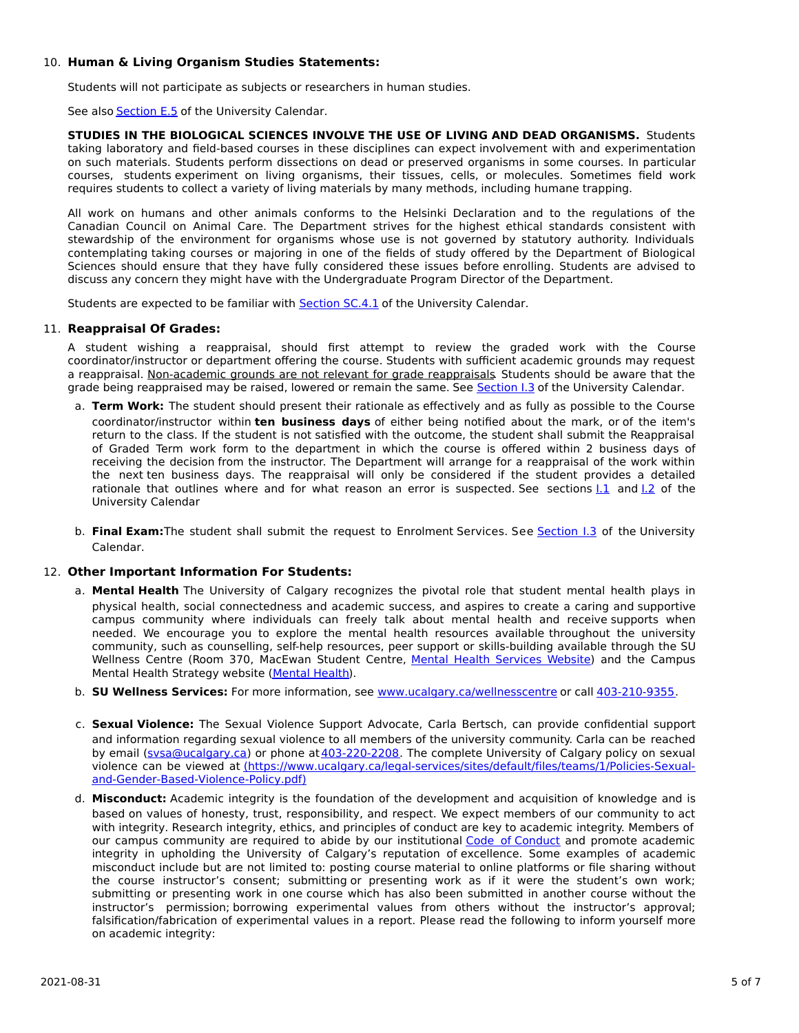## 10. **Human & Living Organism Studies Statements:**

Students will not participate as subjects or researchers in human studies.

See also [Section](http://www.ucalgary.ca/pubs/calendar/current/e-5.html) E.5 of the University Calendar.

**STUDIES IN THE BIOLOGICAL SCIENCES INVOLVE THE USE OF LIVING AND DEAD ORGANISMS.** Students taking laboratory and field-based courses in these disciplines can expect involvement with and experimentation on such materials. Students perform dissections on dead or preserved organisms in some courses. In particular courses, students experiment on living organisms, their tissues, cells, or molecules. Sometimes field work requires students to collect a variety of living materials by many methods, including humane trapping.

All work on humans and other animals conforms to the Helsinki Declaration and to the regulations of the Canadian Council on Animal Care. The Department strives for the highest ethical standards consistent with stewardship of the environment for organisms whose use is not governed by statutory authority. Individuals contemplating taking courses or majoring in one of the fields of study offered by the Department of Biological Sciences should ensure that they have fully considered these issues before enrolling. Students are advised to discuss any concern they might have with the Undergraduate Program Director of the Department.

Students are expected to be familiar with **[Section](http://www.ucalgary.ca/pubs/calendar/current/sc-4-1.html) SC.4.1** of the University Calendar.

## 11. **Reappraisal Of Grades:**

A student wishing a reappraisal, should first attempt to review the graded work with the Course coordinator/instructor or department offering the course. Students with sufficient academic grounds may request a reappraisal. Non-academic grounds are not relevant for grade reappraisals. Students should be aware that the grade being reappraised may be raised, lowered or remain the same. See [Section](http://www.ucalgary.ca/pubs/calendar/current/i-3.html) I.3 of the University Calendar.

- a. **Term Work:** The student should present their rationale as effectively and as fully as possible to the Course coordinator/instructor within **ten business days** of either being notified about the mark, or of the item's return to the class. If the student is not satisfied with the outcome, the student shall submit the Reappraisal of Graded Term work form to the department in which the course is offered within 2 business days of receiving the decision from the instructor. The Department will arrange for a reappraisal of the work within the next ten business days. The reappraisal will only be considered if the student provides a detailed rationale that outlines where and for what reason an error is suspected. See sections  $1.1$  and  $1.2$  of the University Calendar
- b. **Final Exam:**The student shall submit the request to Enrolment Services. See [Section](http://www.ucalgary.ca/pubs/calendar/current/i-3.html) I.3 of the University Calendar.

## 12. **Other Important Information For Students:**

- a. **Mental Health** The University of Calgary recognizes the pivotal role that student mental health plays in physical health, social connectedness and academic success, and aspires to create a caring and supportive campus community where individuals can freely talk about mental health and receive supports when needed. We encourage you to explore the mental health resources available throughout the university community, such as counselling, self-help resources, peer support or skills-building available through the SU Wellness Centre (Room 370, MacEwan Student Centre, Mental Health [Services](https://www.ucalgary.ca/wellnesscentre/services/mental-health-services) Website) and the Campus Mental Health Strategy website [\(Mental](http://www.ucalgary.ca/mentalhealth) Health).
- b. **SU Wellness Services:** For more information, see [www.ucalgary.ca/wellnesscentre](http://www.ucalgary.ca/wellnesscentre) or call [403-210-9355.](tel:4032109355)
- c. **Sexual Violence:** The Sexual Violence Support Advocate, Carla Bertsch, can provide confidential support and information regarding sexual violence to all members of the university community. Carla can be reached by email (sysa@ucalgary.ca) or phone at [403-220-2208](tel:4032202208). The complete University of Calgary policy on sexual violence can be viewed at [\(https://www.ucalgary.ca/legal-services/sites/default/files/teams/1/Policies-Sexual](https://www.ucalgary.ca/legal-services/sites/default/files/teams/1/Policies-Sexual-and-Gender-Based-Violence-Policy.pdf)and-Gender-Based-Violence-Policy.pdf)
- d. **Misconduct:** Academic integrity is the foundation of the development and acquisition of knowledge and is based on values of honesty, trust, responsibility, and respect. We expect members of our community to act with integrity. Research integrity, ethics, and principles of conduct are key to academic integrity. Members of our campus community are required to abide by our institutional Code of [Conduct](https://www.ucalgary.ca/legal-services/sites/default/files/teams/1/Policies-Code-of-Conduct.pdf) and promote academic integrity in upholding the University of Calgary's reputation of excellence. Some examples of academic misconduct include but are not limited to: posting course material to online platforms or file sharing without the course instructor's consent; submitting or presenting work as if it were the student's own work; submitting or presenting work in one course which has also been submitted in another course without the instructor's permission; borrowing experimental values from others without the instructor's approval; falsification/fabrication of experimental values in a report. Please read the following to inform yourself more on academic integrity: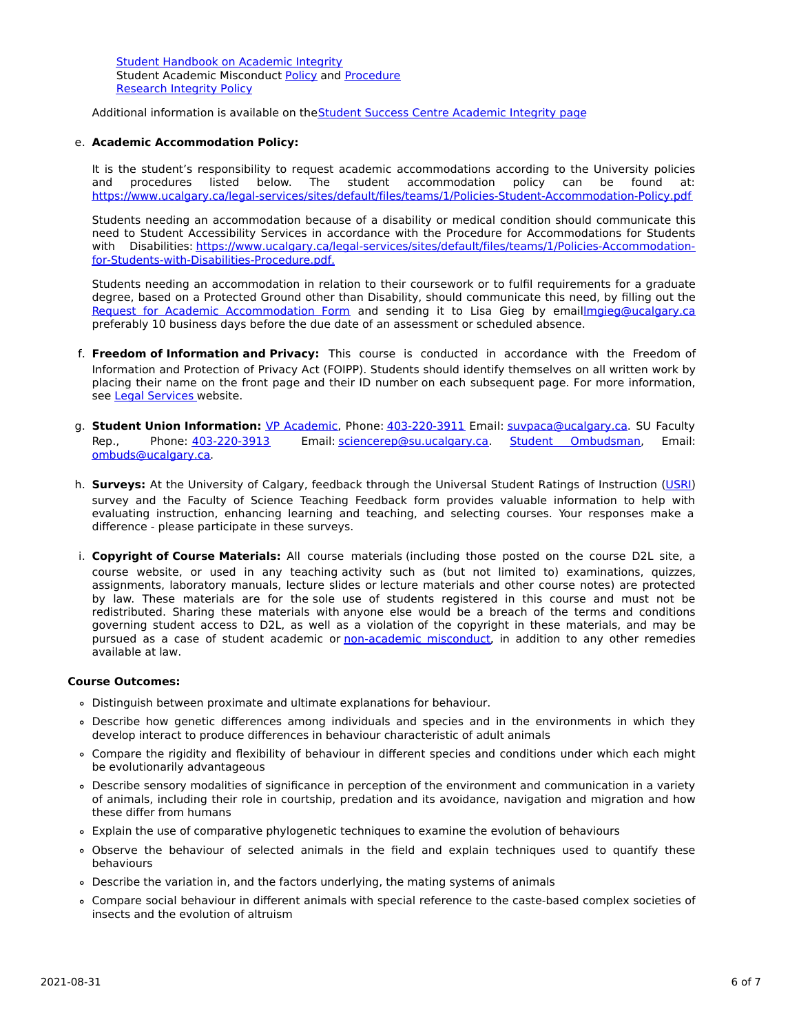Student [Handbook](https://www.ucalgary.ca/live-uc-ucalgary-site/sites/default/files/teams/9/AI-Student-handbook-1.pdf) on Academic Integrity Student Academic Misconduct [Policy](https://www.ucalgary.ca/legal-services/sites/default/files/teams/1/Policies-Student-Academic-Misconduct-Policy.pdf) and [Procedure](https://www.ucalgary.ca/legal-services/sites/default/files/teams/1/Policies-Student-Academic-Misconduct-Procedure.pdf) [Research](https://www.ucalgary.ca/legal-services/sites/default/files/teams/1/Policies-Research-Integrity-Policy.pdf) Integrity Policy

Additional information is available on theStudent Success Centre [Academic](https://ucalgary.ca/student-services/student-success/learning/academic-integrity) Integrity page

### e. **Academic Accommodation Policy:**

It is the student's responsibility to request academic accommodations according to the University policies and procedures listed below. The student accommodation policy can be found at: <https://www.ucalgary.ca/legal-services/sites/default/files/teams/1/Policies-Student-Accommodation-Policy.pdf>

Students needing an accommodation because of a disability or medical condition should communicate this need to Student Accessibility Services in accordance with the Procedure for Accommodations for Students with Disabilities: [https://www.ucalgary.ca/legal-services/sites/default/files/teams/1/Policies-Accommodation](https://www.ucalgary.ca/legal-services/sites/default/files/teams/1/Policies-Accommodation-for-Students-with-Disabilities-Procedure.pdf)for-Students-with-Disabilities-Procedure.pdf.

Students needing an accommodation in relation to their coursework or to fulfil requirements for a graduate degree, based on a Protected Ground other than Disability, should communicate this need, by filling out the Request for Academic [Accommodation](https://science.ucalgary.ca/sites/default/files/teams/1/request-accommodation-academic-courses.pdf) Form and sending it to Lisa Gieg by emai[llmgieg@ucalgary.ca](mailto:lmgieg@ucalgary.ca) preferably 10 business days before the due date of an assessment or scheduled absence.

- f. **Freedom of Information and Privacy:** This course is conducted in accordance with the Freedom of Information and Protection of Privacy Act (FOIPP). Students should identify themselves on all written work by placing their name on the front page and their ID number on each subsequent page. For more information, see Legal [Services](https://www.ucalgary.ca/legal-services/access-information-privacy) website.
- g. **Student Union Information:** VP [Academic](http://www.su.ucalgary.ca/contact), Phone: [403-220-3911](tel:4032203911) Email: [suvpaca@ucalgary.ca](mailto:suvpaca@ucalgary.ca). SU Faculty Rep., Phone: [403-220-3913](tel:4032203913) Email: [sciencerep@su.ucalgary.ca](mailto:sciencerep@su.ucalgary.ca). Student [Ombudsman](https://www.ucalgary.ca/ombuds/), Email: [ombuds@ucalgary.ca](mailto:%20ombuds@ucalgary.ca).
- h. **Surveys:** At the University of Calgary, feedback through the Universal Student Ratings of Instruction [\(USRI](http://www.ucalgary.ca/usri)) survey and the Faculty of Science Teaching Feedback form provides valuable information to help with evaluating instruction, enhancing learning and teaching, and selecting courses. Your responses make a difference - please participate in these surveys.
- i. **Copyright of Course Materials:** All course materials (including those posted on the course D2L site, a course website, or used in any teaching activity such as (but not limited to) examinations, quizzes, assignments, laboratory manuals, lecture slides or lecture materials and other course notes) are protected by law. These materials are for the sole use of students registered in this course and must not be redistributed. Sharing these materials with anyone else would be a breach of the terms and conditions governing student access to D2L, as well as a violation of the copyright in these materials, and may be pursued as a case of student academic or [non-academic](https://www.ucalgary.ca/conduct/policy/non-academic-misconduct-policy) misconduct, in addition to any other remedies available at law.

### **Course Outcomes:**

- Distinguish between proximate and ultimate explanations for behaviour.
- Describe how genetic differences among individuals and species and in the environments in which they develop interact to produce differences in behaviour characteristic of adult animals
- Compare the rigidity and flexibility of behaviour in different species and conditions under which each might be evolutionarily advantageous
- Describe sensory modalities of significance in perception of the environment and communication in a variety of animals, including their role in courtship, predation and its avoidance, navigation and migration and how these differ from humans
- Explain the use of comparative phylogenetic techniques to examine the evolution of behaviours
- Observe the behaviour of selected animals in the field and explain techniques used to quantify these behaviours
- Describe the variation in, and the factors underlying, the mating systems of animals
- Compare social behaviour in different animals with special reference to the caste-based complex societies of insects and the evolution of altruism